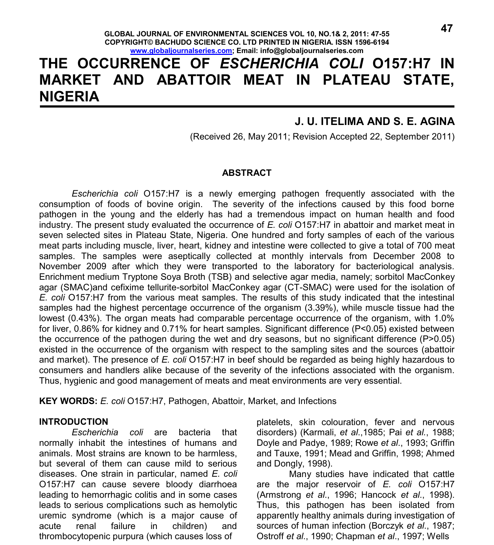# **THE OCCURRENCE OF** *ESCHERICHIA COLI* **O157:H7 IN MARKET AND ABATTOIR MEAT IN PLATEAU STATE, NIGERIA**

## **J. U. ITELIMA AND S. E. AGINA**

(Received 26, May 2011; Revision Accepted 22, September 2011)

#### **ABSTRACT**

*Escherichia coli* O157:H7 is a newly emerging pathogen frequently associated with the consumption of foods of bovine origin. The severity of the infections caused by this food borne pathogen in the young and the elderly has had a tremendous impact on human health and food industry. The present study evaluated the occurrence of *E. coli* O157:H7 in abattoir and market meat in seven selected sites in Plateau State, Nigeria. One hundred and forty samples of each of the various meat parts including muscle, liver, heart, kidney and intestine were collected to give a total of 700 meat samples. The samples were aseptically collected at monthly intervals from December 2008 to November 2009 after which they were transported to the laboratory for bacteriological analysis. Enrichment medium Tryptone Soya Broth (TSB) and selective agar media, namely; sorbitol MacConkey agar (SMAC)and cefixime tellurite-sorbitol MacConkey agar (CT-SMAC) were used for the isolation of *E. coli* O157:H7 from the various meat samples. The results of this study indicated that the intestinal samples had the highest percentage occurrence of the organism (3.39%), while muscle tissue had the lowest (0.43%). The organ meats had comparable percentage occurrence of the organism, with 1.0% for liver, 0.86% for kidney and 0.71% for heart samples. Significant difference (P<0.05) existed between the occurrence of the pathogen during the wet and dry seasons, but no significant difference (P>0.05) existed in the occurrence of the organism with respect to the sampling sites and the sources (abattoir and market). The presence of *E. coli* O157:H7 in beef should be regarded as being highly hazardous to consumers and handlers alike because of the severity of the infections associated with the organism. Thus, hygienic and good management of meats and meat environments are very essential.

**KEY WORDS:** *E. coli* O157:H7, Pathogen, Abattoir, Market, and Infections

#### **INTRODUCTION**

*Escherichia coli* are bacteria that normally inhabit the intestines of humans and animals. Most strains are known to be harmless, but several of them can cause mild to serious diseases. One strain in particular, named *E. coli* O157:H7 can cause severe bloody diarrhoea leading to hemorrhagic colitis and in some cases leads to serious complications such as hemolytic uremic syndrome (which is a major cause of acute renal failure in children) and thrombocytopenic purpura (which causes loss of

platelets, skin colouration, fever and nervous disorders) (Karmali, *et al*.,1985; Pai *et al.*, 1988; Doyle and Padye, 1989; Rowe *et al*., 1993; Griffin and Tauxe, 1991; Mead and Griffin, 1998; Ahmed and Dongly, 1998).

Many studies have indicated that cattle are the major reservoir of *E. coli* O157:H7 (Armstrong *et al*., 1996; Hancock *et al*., 1998). Thus, this pathogen has been isolated from apparently healthy animals during investigation of sources of human infection (Borczyk *et al*., 1987; Ostroff *et al*., 1990; Chapman *et al*., 1997; Wells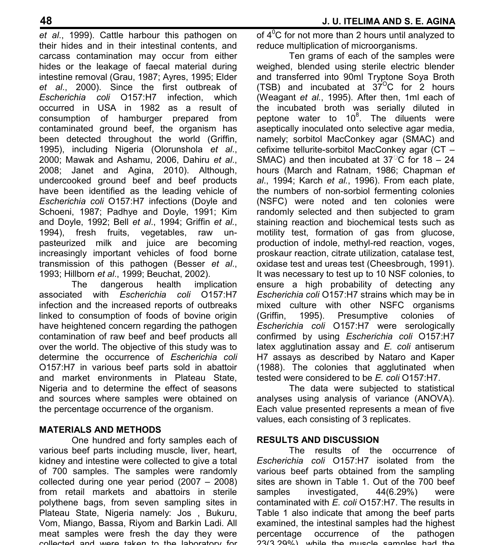*et al*., 1999). Cattle harbour this pathogen on their hides and in their intestinal contents, and carcass contamination may occur from either hides or the leakage of faecal material during intestine removal (Grau, 1987; Ayres, 1995; Elder *et al*., 2000). Since the first outbreak of *Escherichia coli* O157:H7 infection, which occurred in USA in 1982 as a result of consumption of hamburger prepared from contaminated ground beef, the organism has been detected throughout the world (Griffin, 1995), including Nigeria (Olorunshola *et al*., 2000; Mawak and Ashamu, 2006, Dahiru *et al*., 2008; Janet and Agina, 2010). Although, undercooked ground beef and beef products have been identified as the leading vehicle of *Escherichia coli* O157:H7 infections (Doyle and Schoeni, 1987; Padhye and Doyle, 1991; Kim and Doyle, 1992; Bell *et al*., 1994; Griffin *et al.*, 1994), fresh fruits, vegetables, raw unpasteurized milk and juice are becoming increasingly important vehicles of food borne transmission of this pathogen (Besser *et al*., 1993; Hillborn *et al*., 1999; Beuchat, 2002).

The dangerous health implication associated with *Escherichia coli* O157:H7 infection and the increased reports of outbreaks linked to consumption of foods of bovine origin have heightened concern regarding the pathogen contamination of raw beef and beef products all over the world. The objective of this study was to determine the occurrence of *Escherichia coli* O157:H7 in various beef parts sold in abattoir and market environments in Plateau State, Nigeria and to determine the effect of seasons and sources where samples were obtained on the percentage occurrence of the organism.

## **MATERIALS AND METHODS**

One hundred and forty samples each of various beef parts including muscle, liver, heart, kidney and intestine were collected to give a total of 700 samples. The samples were randomly collected during one year period (2007 – 2008) from retail markets and abattoirs in sterile polythene bags, from seven sampling sites in Plateau State, Nigeria namely: Jos , Bukuru, Vom, Miango, Bassa, Riyom and Barkin Ladi. All meat samples were fresh the day they were collected and were taken to the laboratory for

of  $4^0C$  for not more than 2 hours until analyzed to reduce multiplication of microorganisms.

Ten grams of each of the samples were weighed, blended using sterile electric blender and transferred into 90ml Tryptone Soya Broth (TSB) and incubated at  $37^{\circ}$ C for 2 hours (Weagant *et al.*, 1995). After then, 1ml each of the incubated broth was serially diluted in peptone water to 10<sup>8</sup>. The diluents were aseptically inoculated onto selective agar media, namely; sorbitol MacConkey agar (SMAC) and cefixime tellurite-sorbitol MacConkey agar (CT – SMAC) and then incubated at  $37^{\circ}$ C for 18 – 24 hours (March and Ratnam, 1986; Chapman *et al*., 1994; Karch *et al.*, 1996). From each plate, the numbers of non-sorbiol fermenting colonies (NSFC) were noted and ten colonies were randomly selected and then subjected to gram staining reaction and biochemical tests such as motility test, formation of gas from glucose, production of indole, methyl-red reaction, voges, proskaur reaction, citrate utilization, catalase test, oxidase test and ureas test (Cheesbrough, 1991). It was necessary to test up to 10 NSF colonies, to ensure a high probability of detecting any *Escherichia coli* O157:H7 strains which may be in mixed culture with other NSFC organisms (Griffin, 1995). Presumptive colonies of *Escherichia coli* O157:H7 were serologically confirmed by using *Escherichia coli* O157:H7 latex agglutination assay and *E. coli* antiserum H7 assays as described by Nataro and Kaper (1988). The colonies that agglutinated when tested were considered to be *E. coli* O157:H7.

The data were subjected to statistical analyses using analysis of variance (ANOVA). Each value presented represents a mean of five values, each consisting of 3 replicates.

### **RESULTS AND DISCUSSION**

The results of the occurrence of *Escherichia coli* O157:H7 isolated from the various beef parts obtained from the sampling sites are shown in Table 1. Out of the 700 beef samples investigated, 44(6.29%) were contaminated with *E. coli* O157:H7. The results in Table 1 also indicate that among the beef parts examined, the intestinal samples had the highest percentage occurrence of the pathogen 23(3.29%), while the muscle samples had the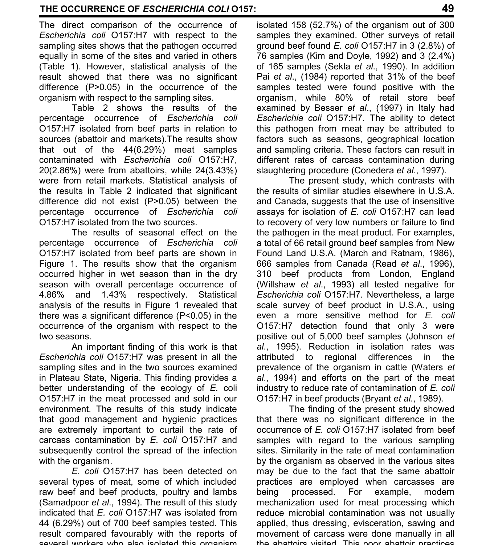The direct comparison of the occurrence of *Escherichia coli* O157:H7 with respect to the sampling sites shows that the pathogen occurred equally in some of the sites and varied in others (Table 1). However, statistical analysis of the result showed that there was no significant difference (P>0.05) in the occurrence of the organism with respect to the sampling sites.

Table 2 shows the results of the percentage occurrence of *Escherichia coli* O157:H7 isolated from beef parts in relation to sources (abattoir and markets).The results show that out of the 44(6.29%) meat samples contaminated with *Escherichia coli* O157:H7, 20(2.86%) were from abattoirs, while 24(3.43%) were from retail markets. Statistical analysis of the results in Table 2 indicated that significant difference did not exist (P>0.05) between the percentage occurrence of *Escherichia coli* O157:H7 isolated from the two sources.

The results of seasonal effect on the percentage occurrence of *Escherichia coli* O157:H7 isolated from beef parts are shown in Figure 1. The results show that the organism occurred higher in wet season than in the dry season with overall percentage occurrence of 4.86% and 1.43% respectively. Statistical analysis of the results in Figure 1 revealed that there was a significant difference (P<0.05) in the occurrence of the organism with respect to the two seasons.

An important finding of this work is that *Escherichia coli* O157:H7 was present in all the sampling sites and in the two sources examined in Plateau State, Nigeria. This finding provides a better understanding of the ecology of *E.* coli O157:H7 in the meat processed and sold in our environment. The results of this study indicate that good management and hygienic practices are extremely important to curtail the rate of carcass contamination by *E. coli* O157:H7 and subsequently control the spread of the infection with the organism.

*E. coli* O157:H7 has been detected on several types of meat, some of which included raw beef and beef products, poultry and lambs (Samadpoor *et al*., 1994). The result of this study indicated that *E. coli* O157:H7 was isolated from 44 (6.29%) out of 700 beef samples tested. This result compared favourably with the reports of several workers who also isolated this organism

isolated 158 (52.7%) of the organism out of 300 samples they examined. Other surveys of retail ground beef found *E. coli* O157:H7 in 3 (2.8%) of 76 samples (Kim and Doyle, 1992) and 3 (2.4%) of 165 samples (Sekla *et al*., 1990). In addition Pai *et al*., (1984) reported that 31% of the beef samples tested were found positive with the organism, while 80% of retail store beef examined by Besser *et al*., (1997) in Italy had *Escherichia coli* O157:H7. The ability to detect this pathogen from meat may be attributed to factors such as seasons, geographical location and sampling criteria. These factors can result in different rates of carcass contamination during slaughtering procedure (Conedera *et al*., 1997).

The present study, which contrasts with the results of similar studies elsewhere in U.S.A. and Canada, suggests that the use of insensitive assays for isolation of *E. coli* O157:H7 can lead to recovery of very low numbers or failure to find the pathogen in the meat product. For examples, a total of 66 retail ground beef samples from New Found Land U.S.A. (March and Ratnam, 1986), 666 samples from Canada (Read *et al*., 1996), 310 beef products from London, England (Willshaw *et al*., 1993) all tested negative for *Escherichia coli* O157:H7. Nevertheless, a large scale survey of beef product in U.S.A., using even a more sensitive method for *E. coli* O157:H7 detection found that only 3 were positive out of 5,000 beef samples (Johnson *et al*., 1995). Reduction in isolation rates was attributed to regional differences in the prevalence of the organism in cattle (Waters *et al*., 1994) and efforts on the part of the meat industry to reduce rate of contamination of *E. coli* O157:H7 in beef products (Bryant *et al*., 1989).

The finding of the present study showed that there was no significant difference in the occurrence of *E. coli* O157:H7 isolated from beef samples with regard to the various sampling sites. Similarity in the rate of meat contamination by the organism as observed in the various sites may be due to the fact that the same abattoir practices are employed when carcasses are being processed. For example, modern mechanization used for meat processing which reduce microbial contamination was not usually applied, thus dressing, evisceration, sawing and movement of carcass were done manually in all the abattoirs visited. This poor abattoir practices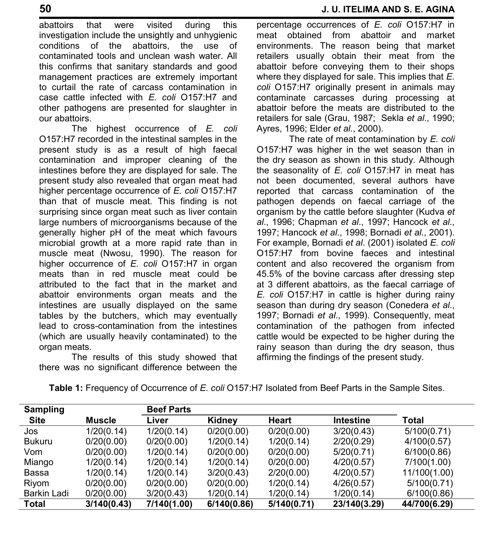abattoirs that were visited during this investigation include the unsightly and unhygienic conditions of the abattoirs, the use of contaminated tools and unclean wash water. All this confirms that sanitary standards and good management practices are extremely important to curtail the rate of carcass contamination in case cattle infected with *E. coli* O157:H7 and other pathogens are presented for slaughter in our abattoirs.

The highest occurrence of *E. coli* O157:H7 recorded in the intestinal samples in the present study is as a result of high faecal contamination and improper cleaning of the intestines before they are displayed for sale. The present study also revealed that organ meat had higher percentage occurrence of *E. coli* O157:H7 than that of muscle meat. This finding is not surprising since organ meat such as liver contain large numbers of microorganisms because of the generally higher pH of the meat which favours microbial growth at a more rapid rate than in muscle meat (Nwosu, 1990). The reason for higher occurrence of *E. coli* O157:H7 in organ meats than in red muscle meat could be attributed to the fact that in the market and abattoir environments organ meats and the intestines are usually displayed on the same tables by the butchers, which may eventually lead to cross-contamination from the intestines (which are usually heavily contaminated) to the organ meats.

The results of this study showed that there was no significant difference between the

percentage occurrences of *E. coli* O157:H7 in meat obtained from abattoir and market environments. The reason being that market retailers usually obtain their meat from the abattoir before conveying them to their shops where they displayed for sale. This implies that *E. coli* O157:H7 originally present in animals may contaminate carcasses during processing at abattoir before the meats are distributed to the retailers for sale (Grau, 1987; Sekla *et al*., 1990; Ayres, 1996; Elder *et al.*, 2000).

The rate of meat contamination by *E. coli* O157:H7 was higher in the wet season than in the dry season as shown in this study. Although the seasonality of *E. coli* O157:H7 in meat has not been documented, several authors have reported that carcass contamination of the pathogen depends on faecal carriage of the organism by the cattle before slaughter (Kudva *et al*., 1996; Chapman *et al*., 1997; Hancock *et al*., 1997; Hancock *et al*., 1998; Bornadi *et al*., 2001). For example, Bornadi *et al*. (2001) isolated *E. coli* O157:H7 from bovine faeces and intestinal content and also recovered the organism from 45.5% of the bovine carcass after dressing step at 3 different abattoirs, as the faecal carriage of *E. coli* O157:H7 in cattle is higher during rainy season than during dry season (Conedera *et al*., 1997; Bornadi *et al*., 1999). Consequently, meat contamination of the pathogen from infected cattle would be expected to be higher during the rainy season than during the dry season, thus affirming the findings of the present study.

| <b>Sampling</b> |               | <b>Beef Parts</b> |             |              |                  |              |
|-----------------|---------------|-------------------|-------------|--------------|------------------|--------------|
| <b>Site</b>     | <b>Muscle</b> | Liver             | Kidney      | <b>Heart</b> | <b>Intestine</b> | Total        |
| Jos             | 1/20(0.14)    | 1/20(0.14)        | 0/20(0.00)  | 0/20(0.00)   | 3/20(0.43)       | 5/100(0.71)  |
| <b>Bukuru</b>   | 0/20(0.00)    | 0/20(0.00)        | 1/20(0.14)  | 1/20(0.14)   | 2/20(0.29)       | 4/100(0.57)  |
| Vom             | 0/20(0.00)    | 1/20(0.14)        | 0/20(0.00)  | 0/20(0.00)   | 5/20(0.71)       | 6/100(0.86)  |
| Miango          | 1/20(0.14)    | 1/20(0.14)        | 1/20(0.14)  | 0/20(0.00)   | 4/20(0.57)       | 7/100(1.00)  |
| Bassa           | 1/20(0.14)    | 1/20(0.14)        | 3/20(0.43)  | 2/20(0.00)   | 4/20(0.57)       | 11/100(1.00) |
| Riyom           | 0/20(0.00)    | 0/20(0.00)        | 0/20(0.00)  | 1/20(0.14)   | 4/26(0.57)       | 5/100(0.71)  |
| Barkin Ladi     | 0/20(0.00)    | 3/20(0.43)        | 1/20(0.14)  | 1/20(0.14)   | 1/20(0.14)       | 6/100(0.86)  |
| <b>Total</b>    | 3/140(0.43)   | 7/140(1.00)       | 6/140(0.86) | 5/140(0.71)  | 23/140(3.29)     | 44/700(6.29) |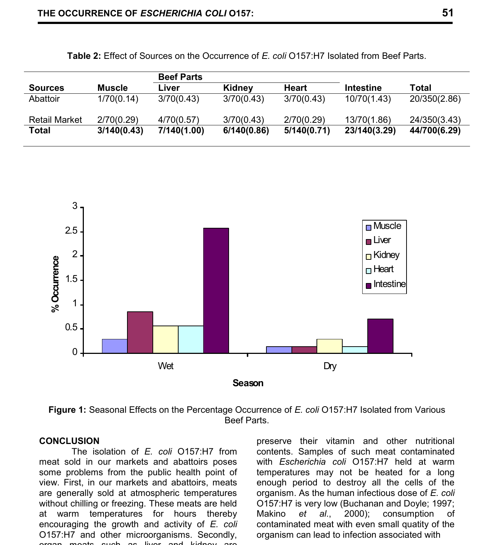|                      |             | <b>Beef Parts</b> |             |             |              |              |
|----------------------|-------------|-------------------|-------------|-------------|--------------|--------------|
| <b>Sources</b>       | Muscle      | Liver             | Kidney      | Heart       | Intestine    | Total        |
| Abattoir             | 1/70(0.14)  | 3/70(0.43)        | 3/70(0.43)  | 3/70(0.43)  | 10/70(1.43)  | 20/350(2.86) |
| <b>Retail Market</b> | 2/70(0.29)  | 4/70(0.57)        | 3/70(0.43)  | 2/70(0.29)  | 13/70(1.86)  | 24/350(3.43) |
| Total                | 3/140(0.43) | 7/140(1.00)       | 6/140(0.86) | 5/140(0.71) | 23/140(3.29) | 44/700(6.29) |

**Table 2:** Effect of Sources on the Occurrence of *E. coli* O157:H7 Isolated from Beef Parts.



**Figure 1:** Seasonal Effects on the Percentage Occurrence of *E. coli* O157:H7 Isolated from Various Beef Parts.

#### **CONCLUSION**

The isolation of *E. coli* O157:H7 from meat sold in our markets and abattoirs poses some problems from the public health point of view. First, in our markets and abattoirs, meats are generally sold at atmospheric temperatures without chilling or freezing. These meats are held at warm temperatures for hours thereby encouraging the growth and activity of *E. coli* O157:H7 and other microorganisms. Secondly, organ meats such as liver and kidney are

preserve their vitamin and other nutritional contents. Samples of such meat contaminated with *Escherichia coli* O157:H7 held at warm temperatures may not be heated for a long enough period to destroy all the cells of the organism. As the human infectious dose of *E. coli* O157:H7 is very low (Buchanan and Doyle; 1997;<br>Makino et al., 2000); consumption of Makino *et al*., 2000); consumption of contaminated meat with even small quatity of the organism can lead to infection associated with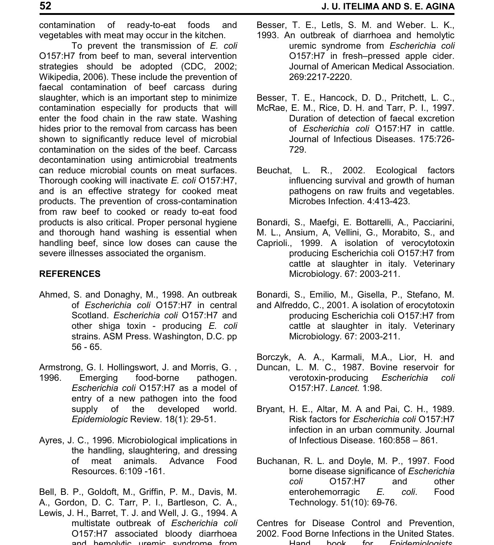contamination of ready-to-eat foods and vegetables with meat may occur in the kitchen.

To prevent the transmission of *E. coli* O157:H7 from beef to man, several intervention strategies should be adopted (CDC, 2002; Wikipedia, 2006). These include the prevention of faecal contamination of beef carcass during slaughter, which is an important step to minimize contamination especially for products that will enter the food chain in the raw state. Washing hides prior to the removal from carcass has been shown to significantly reduce level of microbial contamination on the sides of the beef. Carcass decontamination using antimicrobial treatments can reduce microbial counts on meat surfaces. Thorough cooking will inactivate *E. coli* O157:H7, and is an effective strategy for cooked meat products. The prevention of cross-contamination from raw beef to cooked or ready to-eat food products is also critical. Proper personal hygiene and thorough hand washing is essential when handling beef, since low doses can cause the severe illnesses associated the organism.

## **REFERENCES**

Ahmed, S. and Donaghy, M., 1998. An outbreak of *Escherichia coli* O157:H7 in central Scotland. *Escherichia coli* O157:H7 and other shiga toxin - producing *E. coli* strains. ASM Press. Washington, D.C. pp 56 - 65.

Armstrong, G. l. Hollingswort, J. and Morris, G. ,

- 1996. Emerging food-borne pathogen. *Escherichia coli* O157:H7 as a model of entry of a new pathogen into the food supply of the developed world. *Epidemiologic* Review. 18(1): 29-51.
- Ayres, J. C., 1996. Microbiological implications in the handling, slaughtering, and dressing of meat animals. Advance Food Resources. 6:109 -161.

Bell, B. P., Goldoft, M., Griffin, P. M., Davis, M. A., Gordon, D. C. Tarr, P. I., Bartleson, C. A.,

Lewis, J. H., Barret, T. J. and Well, J. G., 1994. A multistate outbreak of *Escherichia coli* O157:H7 associated bloody diarrhoea and hemolytic uremic syndrome from

Besser, T. E., Letls, S. M. and Weber. L. K., 1993. An outbreak of diarrhoea and hemolytic uremic syndrome from *Escherichia coli* O157:H7 in fresh–pressed apple cider. Journal of American Medical Association. 269:2217-2220.

- Besser, T. E., Hancock, D. D., Pritchett, L. C.,
- McRae, E. M., Rice, D. H. and Tarr, P. I., 1997. Duration of detection of faecal excretion of *Escherichia coli* O157:H7 in cattle. Journal of Infectious Diseases. 175:726- 729.
- Beuchat, L. R., 2002. Ecological factors influencing survival and growth of human pathogens on raw fruits and vegetables. Microbes Infection. 4:413-423.

Bonardi, S., Maefgi, E. Bottarelli, A., Pacciarini,

- M. L., Ansium, A, Vellini, G., Morabito, S., and Caprioli., 1999. A isolation of verocytotoxin producing Escherichia coli O157:H7 from cattle at slaughter in italy. Veterinary Microbiology. 67: 2003-211.
- Bonardi, S., Emilio, M., Gisella, P., Stefano, M. and Alfreddo, C., 2001. A isolation of erocytotoxin producing Escherichia coli O157:H7 from cattle at slaughter in italy. Veterinary Microbiology*.* 67: 2003-211.
- Borczyk, A. A., Karmali, M.A., Lior, H. and Duncan, L. M. C., 1987. Bovine reservoir for verotoxin-producing *Escherichia coli* O157:H7. *Lancet.* 1:98.
- Bryant, H. E., Altar, M. A and Pai, C. H., 1989. Risk factors for *Escherichia coli* O157:H7 infection in an urban community. Journal of Infectious Disease. 160:858 – 861.
- Buchanan, R. L. and Doyle, M. P., 1997. Food borne disease significance of *Escherichia coli* O157:H7 and other enterohemorragic *E. coli*. Food Technology. 51(10): 69-76.

Centres for Disease Control and Prevention, 2002. Food Borne Infections in the United States. Hand book for *Epidemiologists,*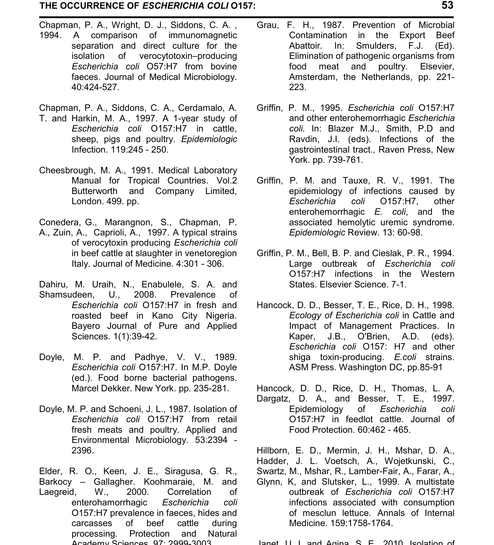Chapman, P. A., Wright, D. J., Siddons, C. A. , 1994. A comparison of immunomagnetic separation and direct culture for the isolation of verocytotoxin–producing *Escherichia coli* O57:H7 from bovine faeces. Journal of Medical Microbiology. 40:424-527.

Chapman, P. A., Siddons, C. A., Cerdamalo, A.

- T. and Harkin, M. A., 1997. A 1-year study of *Escherichia coli* O157:H7 in cattle, sheep, pigs and poultry. *Epidemiologic* Infection. 119:245 - 250.
- Cheesbrough, M. A., 1991. Medical Laboratory Manual for Tropical Countries. Vol.2 Butterworth and Company Limited, London. 499. pp.

Conedera, G., Marangnon, S., Chapman, P. A., Zuin, A., Caprioli, A., 1997. A typical strains of verocytoxin producing *Escherichia coli* in beef cattle at slaughter in venetoregion Italy. Journal of Medicine. 4:301 - 306.

Dahiru, M. Uraih, N., Enabulele, S. A. and Shamsudeen, U., 2008. Prevalence of *Escherichia coli* O157:H7 in fresh and roasted beef in Kano City Nigeria. Bayero Journal of Pure and Applied Sciences. 1(1):39-42.

- Doyle, M. P. and Padhye, V. V., 1989. *Escherichia coli* O157:H7. In M.P. Doyle (ed.). Food borne bacterial pathogens. Marcel Dekker. New York. pp. 235-281.
- Doyle, M. P. and Schoeni, J. L., 1987. Isolation of *Escherichia coli* O157:H7 from retail fresh meats and poultry. Applied and Environmental Microbiology*.* 53:2394 - 2396.

Elder, R. O., Keen, J. E., Siragusa, G. R., Barkocy – Gallagher. Koohmaraie, M. and Laegreid, W., 2000. Correlation of enterohamorrhagic *Escherichia coli* O157:H7 prevalence in faeces, hides and carcasses of beef cattle during processing. Protection and Natural Academy Sciences. 97: 2999-3003.

- Grau, F. H., 1987. Prevention of Microbial Contamination in the Export Beef Abattoir*.* In: Smulders, F.J. (Ed). Elimination of pathogenic organisms from food meat and poultry. Elsevier, Amsterdam, the Netherlands, pp. 221- 223.
- Griffin, P. M., 1995. *Escherichia coli* O157:H7 and other enterohemorrhagic *Escherichia coli.* In: Blazer M.J., Smith, P.D and Ravdin, J.I. (eds). Infections of the gastrointestinal tract., Raven Press, New York. pp. 739-761.
- Griffin, P. M. and Tauxe, R. V., 1991. The epidemiology of infections caused by<br>Escherichia coli O157:H7, other *Escherichia coli* O157:H7, other enterohemorrhagic *E. coli*, and the associated hemolytic uremic syndrome. *Epidemiologic* Review*.* 13: 60-98.
- Griffin, P. M., Bell, B. P. and Cieslak, P. R., 1994. Large outbreak of *Escherichia coli* O157:H7 infections in the Western States. Elsevier Science. 7-1.
- Hancock, D. D., Besser, T. E., Rice, D. H., 1998. *Ecology of Escherichia coli* in Cattle and Impact of Management Practices. In Kaper, J.B., O'Brien, A.D. (eds). *Escherichia coli* O157: H7 and other shiga toxin-producing. *E.coli* strains. ASM Press. Washington DC, pp.85-91

Hancock, D. D., Rice, D. H., Thomas, L. A, Dargatz, D. A., and Besser, T. E., 1997. Epidemiology of *Escherichia coli* O157:H7 in feedlot cattle. Journal of Food Protection. 60:462 - 465.

Hillborn, E. D., Mermin, J. H., Mshar, D. A., Hadder, J. L. Voetsch, A., Wojetkunski, C., Swartz, M., Mshar, R., Lamber-Fair, A., Farar, A.,

Glynn, K, and Slutsker, L., 1999. A multistate outbreak of *Escherichia coli* O157:H7 infections associated with consumption of mesclun lettuce. Annals of Internal Medicine. 159:1758-1764.

Janet, U. I. and Agina, S. E., 2010. Isolation of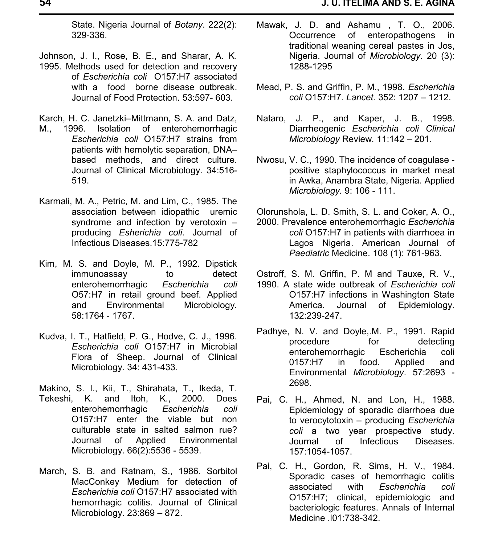State. Nigeria Journal of *Botany*. 222(2): 329-336.

Johnson, J. I., Rose, B. E., and Sharar, A. K.

1995. Methods used for detection and recovery of *Escherichia coli* O157:H7 associated with a food borne disease outbreak. Journal of Food Protection. 53:597- 603.

Karch, H. C. Janetzki–Mittmann, S. A. and Datz,

- M., 1996. Isolation of enterohemorrhagic *Escherichia coli* O157:H7 strains from patients with hemolytic separation, DNA– based methods, and direct culture. Journal of Clinical Microbiology. 34:516- 519.
- Karmali, M. A., Petric, M. and Lim, C., 1985. The association between idiopathic uremic syndrome and infection by verotoxin – producing *Esherichia coli*. Journal of Infectious Diseases.15:775-782
- Kim, M. S. and Doyle, M. P., 1992. Dipstick immunoassay to detect enterohemorrhagic *Escherichia coli* O57:H7 in retail ground beef. Applied<br>and Fnvironmental Microbiology and Environmental Microbiology*.* 58:1764 - 1767.
- Kudva, I. T., Hatfield, P. G., Hodve, C. J., 1996. *Escherichia coli* O157:H7 in Microbial Flora of Sheep. Journal of Clinical Microbiology. 34: 431-433.
- Makino, S. I., Kii, T., Shirahata, T., Ikeda, T. Tekeshi, K. and Itoh, K., 2000. Does enterohemorrhagic *Escherichia coli* O157:H7 enter the viable but non culturable state in salted salmon rue? Journal of Applied Environmental Microbiology. 66(2):5536 - 5539.
- March, S. B. and Ratnam, S., 1986. Sorbitol MacConkey Medium for detection of *Escherichia coli* O157:H7 associated with hemorrhagic colitis. Journal of Clinical Microbiology. 23:869 – 872.
- Mawak, J. D. and Ashamu , T. O., 2006. Occurrence of enteropathogens in traditional weaning cereal pastes in Jos, Nigeria. Journal of *Microbiology.* 20 (3): 1288-1295
- Mead, P. S. and Griffin, P. M., 1998. *Escherichia coli* O157:H7. *Lancet.* 352: 1207 – 1212.
- Nataro, J. P., and Kaper, J. B., 1998. Diarrheogenic *Escherichia coli Clinical Microbiology* Review*.* 11:142 – 201.
- Nwosu, V. C., 1990. The incidence of coagulase positive staphylococcus in market meat in Awka, Anambra State, Nigeria. Applied *Microbiology.* 9: 106 - 111.

Olorunshola, L. D. Smith, S. L. and Coker, A. O.,

- 2000. Prevalence enterohemorrhagic *Escherichia coli* O157:H7 in patients with diarrhoea in Lagos Nigeria. American Journal of *Paediatric* Medicine. 108 (1): 761-963.
- Ostroff, S. M. Griffin, P. M and Tauxe, R. V.,
- 1990. A state wide outbreak of *Escherichia coli* O157:H7 infections in Washington State<br>America. Journal of Epidemiology. Journal of Epidemiology. 132:239-247.
- Padhye, N. V. and Doyle,.M. P., 1991. Rapid procedure for detecting enterohemorrhagic Escherichia coli 0157:H7 in food. Applied and Environmental *Microbiology*. 57:2693 - 2698.
- Pai, C. H., Ahmed, N. and Lon, H., 1988. Epidemiology of sporadic diarrhoea due to verocytotoxin – producing *Escherichia coli* a two year prospective study. Journal of Infectious Diseases. 157:1054-1057.
- Pai, C. H., Gordon, R. Sims, H. V., 1984. Sporadic cases of hemorrhagic colitis associated with *Escherichia coli* O157:H7; clinical, epidemiologic and bacteriologic features. Annals of Internal Medicine *.*l01:738-342.